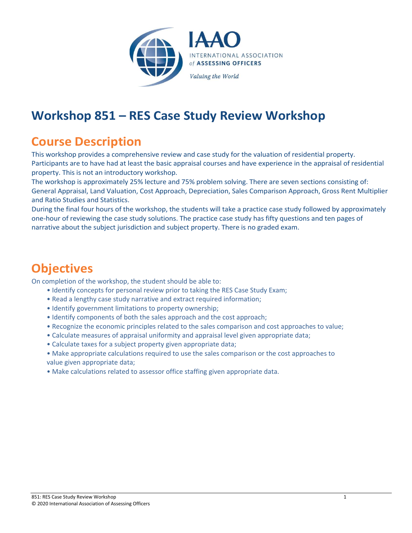

## **Workshop 851 – RES Case Study Review Workshop**

## **Course Description**

This workshop provides a comprehensive review and case study for the valuation of residential property. Participants are to have had at least the basic appraisal courses and have experience in the appraisal of residential property. This is not an introductory workshop.

The workshop is approximately 25% lecture and 75% problem solving. There are seven sections consisting of: General Appraisal, Land Valuation, Cost Approach, Depreciation, Sales Comparison Approach, Gross Rent Multiplier and Ratio Studies and Statistics.

During the final four hours of the workshop, the students will take a practice case study followed by approximately one-hour of reviewing the case study solutions. The practice case study has fifty questions and ten pages of narrative about the subject jurisdiction and subject property. There is no graded exam.

## **Objectives**

On completion of the workshop, the student should be able to:

- Identify concepts for personal review prior to taking the RES Case Study Exam;
- Read a lengthy case study narrative and extract required information;
- Identify government limitations to property ownership;
- Identify components of both the sales approach and the cost approach;
- Recognize the economic principles related to the sales comparison and cost approaches to value;
- Calculate measures of appraisal uniformity and appraisal level given appropriate data;
- Calculate taxes for a subject property given appropriate data;
- Make appropriate calculations required to use the sales comparison or the cost approaches to value given appropriate data;
- Make calculations related to assessor office staffing given appropriate data.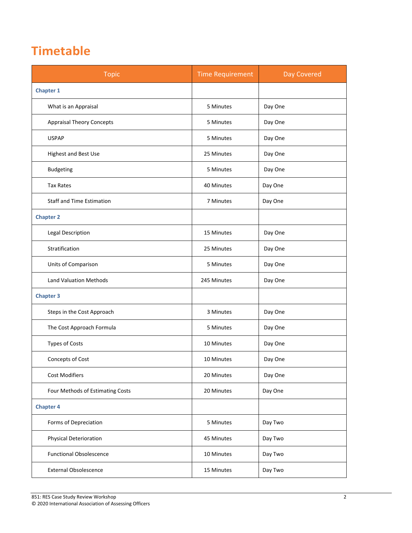## **Timetable**

| <b>Topic</b>                     | <b>Time Requirement</b> | Day Covered |
|----------------------------------|-------------------------|-------------|
| <b>Chapter 1</b>                 |                         |             |
| What is an Appraisal             | 5 Minutes               | Day One     |
| <b>Appraisal Theory Concepts</b> | 5 Minutes               | Day One     |
| <b>USPAP</b>                     | 5 Minutes               | Day One     |
| Highest and Best Use             | 25 Minutes              | Day One     |
| <b>Budgeting</b>                 | 5 Minutes               | Day One     |
| <b>Tax Rates</b>                 | 40 Minutes              | Day One     |
| <b>Staff and Time Estimation</b> | 7 Minutes               | Day One     |
| <b>Chapter 2</b>                 |                         |             |
| <b>Legal Description</b>         | 15 Minutes              | Day One     |
| Stratification                   | 25 Minutes              | Day One     |
| Units of Comparison              | 5 Minutes               | Day One     |
| <b>Land Valuation Methods</b>    | 245 Minutes             | Day One     |
| <b>Chapter 3</b>                 |                         |             |
| Steps in the Cost Approach       | 3 Minutes               | Day One     |
| The Cost Approach Formula        | 5 Minutes               | Day One     |
| Types of Costs                   | 10 Minutes              | Day One     |
| Concepts of Cost                 | 10 Minutes              | Day One     |
| <b>Cost Modifiers</b>            | 20 Minutes              | Day One     |
| Four Methods of Estimating Costs | 20 Minutes              | Day One     |
| <b>Chapter 4</b>                 |                         |             |
| Forms of Depreciation            | 5 Minutes               | Day Two     |
| <b>Physical Deterioration</b>    | 45 Minutes              | Day Two     |
| <b>Functional Obsolescence</b>   | 10 Minutes              | Day Two     |
| <b>External Obsolescence</b>     | 15 Minutes              | Day Two     |